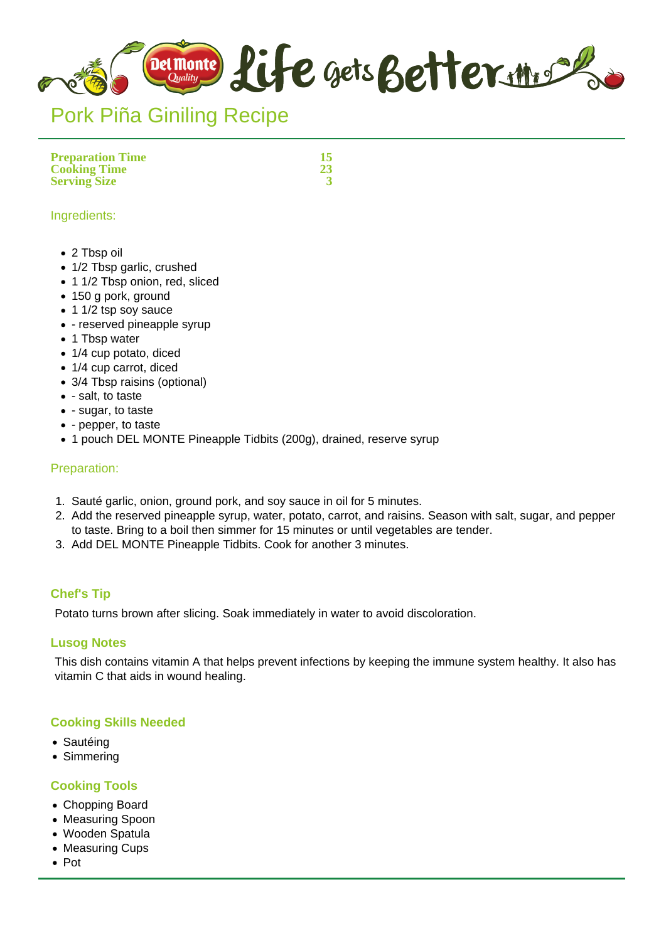

# Pork Piña Giniling Recipe

**Preparation Time 15 Cooking Time 23 Serving Size** 

### Ingredients:

- 2 Tbsp oil
- 1/2 Tbsp garlic, crushed
- 1 1/2 Tbsp onion, red, sliced
- 150 g pork, ground
- 1 1/2 tsp soy sauce
- - reserved pineapple syrup
- 1 Tbsp water
- 1/4 cup potato, diced
- 1/4 cup carrot, diced
- 3/4 Tbsp raisins (optional)
- - salt, to taste
- - sugar, to taste
- - pepper, to taste
- 1 pouch DEL MONTE Pineapple Tidbits (200g), drained, reserve syrup

## Preparation:

- 1. Sauté garlic, onion, ground pork, and soy sauce in oil for 5 minutes.
- 2. Add the reserved pineapple syrup, water, potato, carrot, and raisins. Season with salt, sugar, and pepper to taste. Bring to a boil then simmer for 15 minutes or until vegetables are tender.
- 3. Add DEL MONTE Pineapple Tidbits. Cook for another 3 minutes.

## **Chef's Tip**

Potato turns brown after slicing. Soak immediately in water to avoid discoloration.

#### **Lusog Notes**

This dish contains vitamin A that helps prevent infections by keeping the immune system healthy. It also has vitamin C that aids in wound healing.

## **Cooking Skills Needed**

- Sautéing
- Simmering

#### **Cooking Tools**

- Chopping Board
- Measuring Spoon
- Wooden Spatula
- Measuring Cups
- Pot